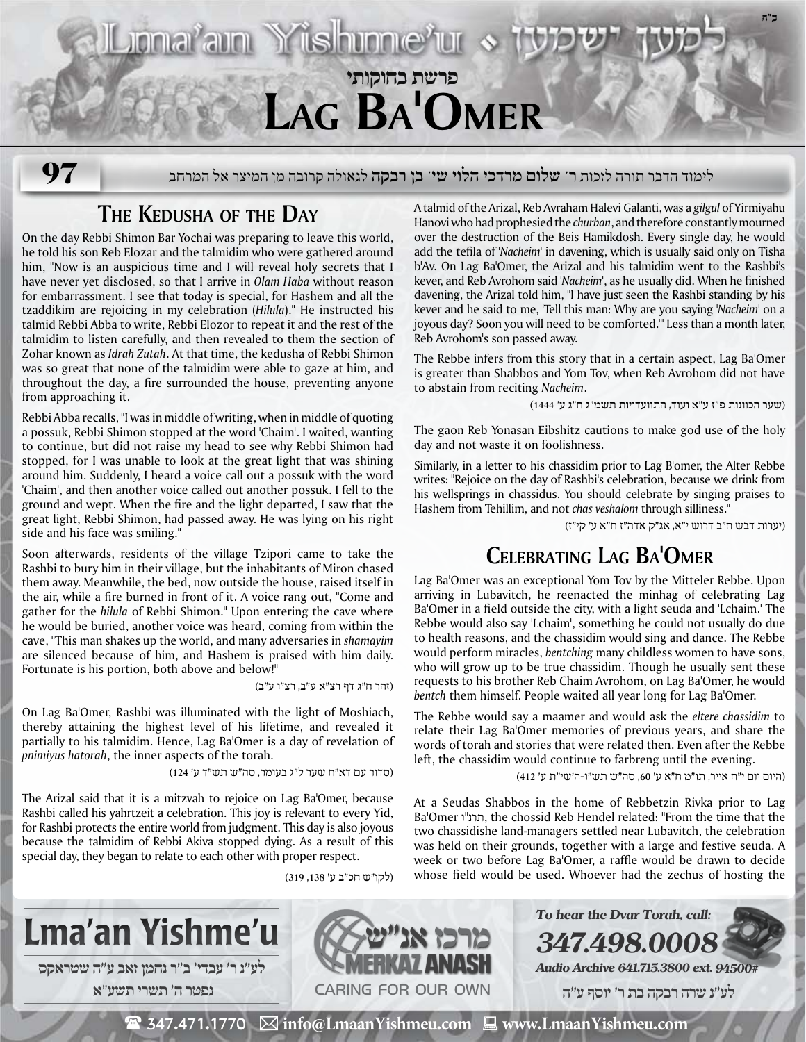## **ב"ה** Jonaram Yishinnerur **פרשת בחוקותי Lag Ba'Omer**

לימוד הדבר תורה לזכות **ר' שלום מרדכי הלוי שי' בן רבקה** לגאולה קרובה מן המיצר אל המרחב **97**

## **The Kedusha of the Day**

On the day Rebbi Shimon Bar Yochai was preparing to leave this world, he told his son Reb Elozar and the talmidim who were gathered around him, "Now is an auspicious time and I will reveal holy secrets that I have never yet disclosed, so that I arrive in *Olam Haba* without reason for embarrassment. I see that today is special, for Hashem and all the tzaddikim are rejoicing in my celebration (*Hilula*)." He instructed his talmid Rebbi Abba to write, Rebbi Elozor to repeat it and the rest of the talmidim to listen carefully, and then revealed to them the section of Zohar known as *Idrah Zutah*. At that time, the kedusha of Rebbi Shimon was so great that none of the talmidim were able to gaze at him, and throughout the day, a fire surrounded the house, preventing anyone from approaching it.

Rebbi Abba recalls, "I was in middle of writing, when in middle of quoting a possuk, Rebbi Shimon stopped at the word 'Chaim'. I waited, wanting to continue, but did not raise my head to see why Rebbi Shimon had stopped, for I was unable to look at the great light that was shining around him. Suddenly, I heard a voice call out a possuk with the word 'Chaim', and then another voice called out another possuk. I fell to the ground and wept. When the fire and the light departed, I saw that the great light, Rebbi Shimon, had passed away. He was lying on his right side and his face was smiling."

Soon afterwards, residents of the village Tzipori came to take the Rashbi to bury him in their village, but the inhabitants of Miron chased them away. Meanwhile, the bed, now outside the house, raised itself in the air, while a fire burned in front of it. A voice rang out, "Come and gather for the *hilula* of Rebbi Shimon." Upon entering the cave where he would be buried, another voice was heard, coming from within the cave, "This man shakes up the world, and many adversaries in *shamayim* are silenced because of him, and Hashem is praised with him daily. Fortunate is his portion, both above and below!"

(זהר ח"ג דף רצ"א ע"ב, רצ"ו ע"ב)

On Lag Ba'Omer, Rashbi was illuminated with the light of Moshiach, thereby attaining the highest level of his lifetime, and revealed it partially to his talmidim. Hence, Lag Ba'Omer is a day of revelation of *pnimiyus hatorah*, the inner aspects of the torah.

(סדור עם דא"ח שער ל"ג בעומר, סה"ש תש"ד ע' 124)

The Arizal said that it is a mitzvah to rejoice on Lag Ba'Omer, because Rashbi called his yahrtzeit a celebration. This joy is relevant to every Yid, for Rashbi protects the entire world from judgment. This day is also joyous because the talmidim of Rebbi Akiva stopped dying. As a result of this special day, they began to relate to each other with proper respect.

(לקו״ש חכ"ב ע' ,138 319)

A talmid of the Arizal, Reb Avraham Halevi Galanti, was a *gilgul* of Yirmiyahu Hanovi who had prophesied the *churban*, and therefore constantly mourned over the destruction of the Beis Hamikdosh. Every single day, he would add the tefila of *'Nacheim'* in davening, which is usually said only on Tisha b'Av. On Lag Ba'Omer, the Arizal and his talmidim went to the Rashbi's kever, and Reb Avrohom said *'Nacheim'*, as he usually did. When he finished davening, the Arizal told him, "I have just seen the Rashbi standing by his kever and he said to me, 'Tell this man: Why are you saying *'Nacheim'* on a joyous day? Soon you will need to be comforted.'" Less than a month later, Reb Avrohom's son passed away.

The Rebbe infers from this story that in a certain aspect, Lag Ba'Omer is greater than Shabbos and Yom Tov, when Reb Avrohom did not have to abstain from reciting *Nacheim*.

(שער הכוונות פ"ז ע"א ועוד, התוועדויות תשמ"ג ח"ג ע' 1444)

The gaon Reb Yonasan Eibshitz cautions to make god use of the holy day and not waste it on foolishness.

Similarly, in a letter to his chassidim prior to Lag B'omer, the Alter Rebbe writes: "Rejoice on the day of Rashbi's celebration, because we drink from his wellsprings in chassidus. You should celebrate by singing praises to Hashem from Tehillim, and not *chas veshalom* through silliness."

(יערות דבש ח"ב דרוש י"א, אג"ק אדה"ז ח"א ע' קי"ז)

## **Celebrating Lag Ba'Omer**

Lag Ba'Omer was an exceptional Yom Tov by the Mitteler Rebbe. Upon arriving in Lubavitch, he reenacted the minhag of celebrating Lag Ba'Omer in a field outside the city, with a light seuda and 'Lchaim.' The Rebbe would also say 'Lchaim', something he could not usually do due to health reasons, and the chassidim would sing and dance. The Rebbe would perform miracles, *bentching* many childless women to have sons, who will grow up to be true chassidim. Though he usually sent these requests to his brother Reb Chaim Avrohom, on Lag Ba'Omer, he would *bentch* them himself. People waited all year long for Lag Ba'Omer.

The Rebbe would say a maamer and would ask the *eltere chassidim* to relate their Lag Ba'Omer memories of previous years, and share the words of torah and stories that were related then. Even after the Rebbe left, the chassidim would continue to farbreng until the evening.

(היום יום י"ח אייר, תו"מ ח"א ע' ,60 סה"ש תש"ו-ה'שי"ת ע' 412)

At a Seudas Shabbos in the home of Rebbetzin Rivka prior to Lag Ba'Omer ו"תרנ, the chossid Reb Hendel related: "From the time that the two chassidishe land-managers settled near Lubavitch, the celebration was held on their grounds, together with a large and festive seuda. A week or two before Lag Ba'Omer, a raffle would be drawn to decide whose field would be used. Whoever had the zechus of hosting the



 $\mathbf{\mathcal{F}}$  347.471.1770  $\boxtimes$  info@LmaanYishmeu.com  $\mathbf{\mathcal{F}}$  www.LmaanYishmeu.com